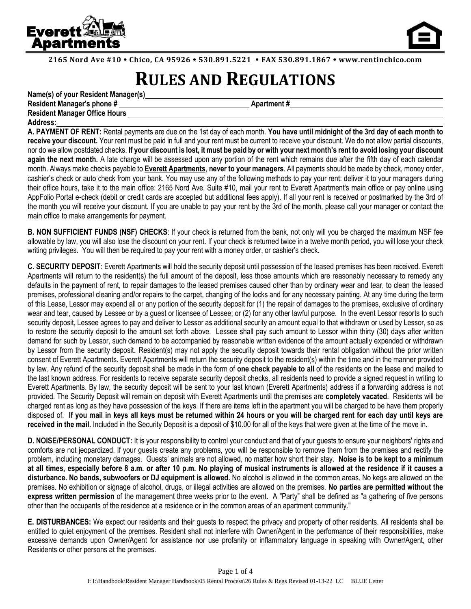



**2165 Nord Ave #10 Chico, CA 95926 530.891.5221 FAX 530.891.1867 www.rentinchico.com**

## **RULES AND REGULATIONS**

| Name(s) of your Resident Manager(s)  |                    |
|--------------------------------------|--------------------|
| <b>Resident Manager's phone #</b>    | <b>Apartment</b> # |
| <b>Resident Manager Office Hours</b> |                    |
| <b>Address:</b>                      |                    |

**A. PAYMENT OF RENT:** Rental payments are due on the 1st day of each month. **You have until midnight of the 3rd day of each month to receive your discount.** Your rent must be paid in full and your rent must be current to receive your discount. We do not allow partial discounts, nor do we allow postdated checks. **If your discount is lost, it must be paid by or with your next month's rent to avoid losing your discount again the next month.** A late charge will be assessed upon any portion of the rent which remains due after the fifth day of each calendar month. Always make checks payable to **Everett Apartments**, **never to your managers**. All payments should be made by check, money order, cashier's check or auto check from your bank. You may use any of the following methods to pay your rent: deliver it to your managers during their office hours, take it to the main office: 2165 Nord Ave. Suite #10, mail your rent to Everett Apartment's main office or pay online using AppFolio Portal e-check (debit or credit cards are accepted but additional fees apply). If all your rent is received or postmarked by the 3rd of the month you will receive your discount. If you are unable to pay your rent by the 3rd of the month, please call your manager or contact the main office to make arrangements for payment.

**B. NON SUFFICIENT FUNDS (NSF) CHECKS**: If your check is returned from the bank, not only will you be charged the maximum NSF fee allowable by law, you will also lose the discount on your rent. If your check is returned twice in a twelve month period, you will lose your check writing privileges. You will then be required to pay your rent with a money order, or cashier's check.

**C. SECURITY DEPOSIT**: Everett Apartments will hold the security deposit until possession of the leased premises has been received. Everett Apartments will return to the resident(s) the full amount of the deposit, less those amounts which are reasonably necessary to remedy any defaults in the payment of rent, to repair damages to the leased premises caused other than by ordinary wear and tear, to clean the leased premises, professional cleaning and/or repairs to the carpet, changing of the locks and for any necessary painting. At any time during the term of this Lease, Lessor may expend all or any portion of the security deposit for (1) the repair of damages to the premises, exclusive of ordinary wear and tear, caused by Lessee or by a guest or licensee of Lessee; or (2) for any other lawful purpose. In the event Lessor resorts to such security deposit, Lessee agrees to pay and deliver to Lessor as additional security an amount equal to that withdrawn or used by Lessor, so as to restore the security deposit to the amount set forth above. Lessee shall pay such amount to Lessor within thirty (30) days after written demand for such by Lessor, such demand to be accompanied by reasonable written evidence of the amount actually expended or withdrawn by Lessor from the security deposit. Resident(s) may not apply the security deposit towards their rental obligation without the prior written consent of Everett Apartments. Everett Apartments will return the security deposit to the resident(s) within the time and in the manner provided by law. Any refund of the security deposit shall be made in the form of **one check payable to all** of the residents on the lease and mailed to the last known address. For residents to receive separate security deposit checks, all residents need to provide a signed request in writing to Everett Apartments. By law, the security deposit will be sent to your last known (Everett Apartments) address if a forwarding address is not provided. The Security Deposit will remain on deposit with Everett Apartments until the premises are **completely vacated**. Residents will be charged rent as long as they have possession of the keys. If there are items left in the apartment you will be charged to be have them properly disposed of. **If you mail in keys all keys must be returned within 24 hours or you will be charged rent for each day until keys are received in the mail.** Included in the Security Deposit is a deposit of \$10.00 for all of the keys that were given at the time of the move in.

**D. NOISE/PERSONAL CONDUCT:** It is your responsibility to control your conduct and that of your guests to ensure your neighbors' rights and comforts are not jeopardized. If your guests create any problems, you will be responsible to remove them from the premises and rectify the problem, including monetary damages. Guests' animals are not allowed, no matter how short their stay. **Noise is to be kept to a minimum at all times, especially before 8 a.m. or after 10 p.m. No playing of musical instruments is allowed at the residence if it causes a disturbance. No bands, subwoofers or DJ equipment is allowed.** No alcohol is allowed in the common areas. No kegs are allowed on the premises. No exhibition or signage of alcohol, drugs, or illegal activities are allowed on the premises. **No parties are permitted without the express written permission** of the management three weeks prior to the event. A "Party" shall be defined as "a gathering of five persons other than the occupants of the residence at a residence or in the common areas of an apartment community."

**E. DISTURBANCES:** We expect our residents and their guests to respect the privacy and property of other residents. All residents shall be entitled to quiet enjoyment of the premises. Resident shall not interfere with Owner/Agent in the performance of their responsibilities, make excessive demands upon Owner/Agent for assistance nor use profanity or inflammatory language in speaking with Owner/Agent, other Residents or other persons at the premises.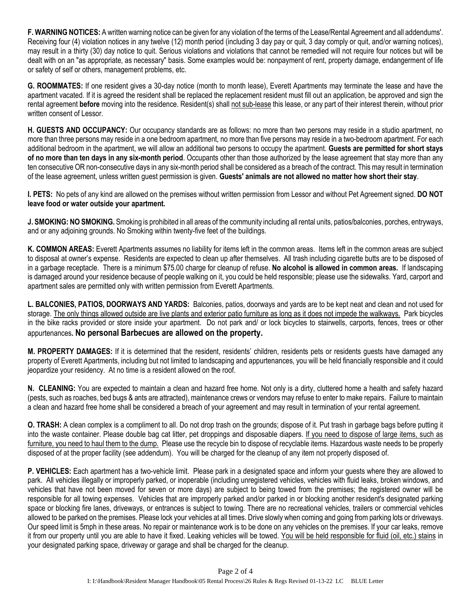**F. WARNING NOTICES:** A written warning notice can be given for any violation of the terms of the Lease/Rental Agreement and all addendums'. Receiving four (4) violation notices in any twelve (12) month period (including 3 day pay or quit, 3 day comply or quit, and/or warning notices), may result in a thirty (30) day notice to quit. Serious violations and violations that cannot be remedied will not require four notices but will be dealt with on an "as appropriate, as necessary" basis. Some examples would be: nonpayment of rent, property damage, endangerment of life or safety of self or others, management problems, etc.

**G. ROOMMATES:** If one resident gives a 30-day notice (month to month lease), Everett Apartments may terminate the lease and have the apartment vacated. If it is agreed the resident shall be replaced the replacement resident must fill out an application, be approved and sign the rental agreement **before** moving into the residence. Resident(s) shall not sub-lease this lease, or any part of their interest therein, without prior written consent of Lessor.

**H. GUESTS AND OCCUPANCY:** Our occupancy standards are as follows: no more than two persons may reside in a studio apartment, no more than three persons may reside in a one bedroom apartment, no more than five persons may reside in a two-bedroom apartment. For each additional bedroom in the apartment, we will allow an additional two persons to occupy the apartment. **Guests are permitted for short stays of no more than ten days in any six-month period**. Occupants other than those authorized by the lease agreement that stay more than any ten consecutive OR non-consecutive days in any six-month period shall be considered as a breach of the contract. This may result in termination of the lease agreement, unless written guest permission is given. **Guests' animals are not allowed no matter how short their stay**.

**I. PETS:** No pets of any kind are allowed on the premises without written permission from Lessor and without Pet Agreement signed. **DO NOT leave food or water outside your apartment.**

**J. SMOKING: NO SMOKING.** Smoking is prohibited in all areas of the community including all rental units, patios/balconies, porches, entryways, and or any adjoining grounds. No Smoking within twenty-five feet of the buildings.

**K. COMMON AREAS:** Everett Apartments assumes no liability for items left in the common areas. Items left in the common areas are subject to disposal at owner's expense. Residents are expected to clean up after themselves. All trash including cigarette butts are to be disposed of in a garbage receptacle. There is a minimum \$75.00 charge for cleanup of refuse. **No alcohol is allowed in common areas.** If landscaping is damaged around your residence because of people walking on it, you could be held responsible; please use the sidewalks. Yard, carport and apartment sales are permitted only with written permission from Everett Apartments.

**L. BALCONIES, PATIOS, DOORWAYS AND YARDS:** Balconies, patios, doorways and yards are to be kept neat and clean and not used for storage. The only things allowed outside are live plants and exterior patio furniture as long as it does not impede the walkways. Park bicycles in the bike racks provided or store inside your apartment. Do not park and/ or lock bicycles to stairwells, carports, fences, trees or other appurtenances**. No personal Barbecues are allowed on the property.**

**M. PROPERTY DAMAGES:** If it is determined that the resident, residents' children, residents pets or residents guests have damaged any property of Everett Apartments, including but not limited to landscaping and appurtenances, you will be held financially responsible and it could jeopardize your residency. At no time is a resident allowed on the roof.

**N. CLEANING:** You are expected to maintain a clean and hazard free home. Not only is a dirty, cluttered home a health and safety hazard (pests, such as roaches, bed bugs & ants are attracted), maintenance crews or vendors may refuse to enter to make repairs. Failure to maintain a clean and hazard free home shall be considered a breach of your agreement and may result in termination of your rental agreement.

**O. TRASH:** A clean complex is a compliment to all. Do not drop trash on the grounds; dispose of it. Put trash in garbage bags before putting it into the waste container. Please double bag cat litter, pet droppings and disposable diapers. If you need to dispose of large items, such as furniture, you need to haul them to the dump. Please use the recycle bin to dispose of recyclable items. Hazardous waste needs to be properly disposed of at the proper facility (see addendum). You will be charged for the cleanup of any item not properly disposed of.

**P. VEHICLES:** Each apartment has a two-vehicle limit. Please park in a designated space and inform your guests where they are allowed to park. All vehicles illegally or improperly parked, or inoperable (including unregistered vehicles, vehicles with fluid leaks, broken windows, and vehicles that have not been moved for seven or more days) are subject to being towed from the premises; the registered owner will be responsible for all towing expenses. Vehicles that are improperly parked and/or parked in or blocking another resident's designated parking space or blocking fire lanes, driveways, or entrances is subject to towing. There are no recreational vehicles, trailers or commercial vehicles allowed to be parked on the premises. Please lock your vehicles at all times. Drive slowly when coming and going from parking lots or driveways. Our speed limit is 5mph in these areas. No repair or maintenance work is to be done on any vehicles on the premises. If your car leaks, remove it from our property until you are able to have it fixed. Leaking vehicles will be towed. You will be held responsible for fluid (oil, etc.) stains in your designated parking space, driveway or garage and shall be charged for the cleanup.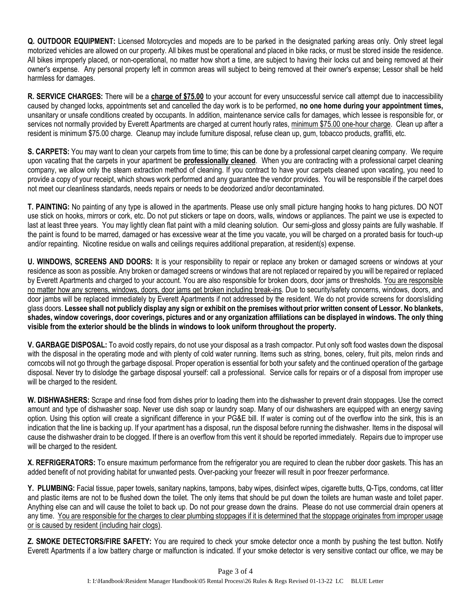**Q. OUTDOOR EQUIPMENT:** Licensed Motorcycles and mopeds are to be parked in the designated parking areas only. Only street legal motorized vehicles are allowed on our property. All bikes must be operational and placed in bike racks, or must be stored inside the residence. All bikes improperly placed, or non-operational, no matter how short a time, are subject to having their locks cut and being removed at their owner's expense. Any personal property left in common areas will subject to being removed at their owner's expense; Lessor shall be held harmless for damages.

**R. SERVICE CHARGES:** There will be a **charge of \$75.00** to your account for every unsuccessful service call attempt due to inaccessibility caused by changed locks, appointments set and cancelled the day work is to be performed, **no one home during your appointment times,** unsanitary or unsafe conditions created by occupants. In addition, maintenance service calls for damages, which lessee is responsible for, or services not normally provided by Everett Apartments are charged at current hourly rates, minimum \$75.00 one-hour charge. Clean up after a resident is minimum \$75.00 charge. Cleanup may include furniture disposal, refuse clean up, gum, tobacco products, graffiti, etc.

**S. CARPETS:** You may want to clean your carpets from time to time; this can be done by a professional carpet cleaning company. We require upon vacating that the carpets in your apartment be **professionally cleaned**. When you are contracting with a professional carpet cleaning company, we allow only the steam extraction method of cleaning. If you contract to have your carpets cleaned upon vacating, you need to provide a copy of your receipt, which shows work performed and any guarantee the vendor provides. You will be responsible if the carpet does not meet our cleanliness standards, needs repairs or needs to be deodorized and/or decontaminated.

**T. PAINTING:** No painting of any type is allowed in the apartments. Please use only small picture hanging hooks to hang pictures. DO NOT use stick on hooks, mirrors or cork, etc. Do not put stickers or tape on doors, walls, windows or appliances. The paint we use is expected to last at least three years. You may lightly clean flat paint with a mild cleaning solution. Our semi-gloss and glossy paints are fully washable. If the paint is found to be marred, damaged or has excessive wear at the time you vacate, you will be charged on a prorated basis for touch-up and/or repainting. Nicotine residue on walls and ceilings requires additional preparation, at resident(s) expense.

**U. WINDOWS, SCREENS AND DOORS:** It is your responsibility to repair or replace any broken or damaged screens or windows at your residence as soon as possible. Any broken or damaged screens or windows that are not replaced or repaired by you will be repaired or replaced by Everett Apartments and charged to your account. You are also responsible for broken doors, door jams or thresholds. You are responsible no matter how any screens, windows, doors, door jams get broken including break-ins. Due to security/safety concerns, windows, doors, and door jambs will be replaced immediately by Everett Apartments if not addressed by the resident. We do not provide screens for doors\sliding glass doors. **Lessee shall not publicly display any sign or exhibit on the premises without prior written consent of Lessor. No blankets, shades, window coverings, door coverings, pictures and or any organization affiliations can be displayed in windows. The only thing visible from the exterior should be the blinds in windows to look uniform throughout the property.**

**V. GARBAGE DISPOSAL:** To avoid costly repairs, do not use your disposal as a trash compactor. Put only soft food wastes down the disposal with the disposal in the operating mode and with plenty of cold water running. Items such as string, bones, celery, fruit pits, melon rinds and corncobs will not go through the garbage disposal. Proper operation is essential for both your safety and the continued operation of the garbage disposal. Never try to dislodge the garbage disposal yourself: call a professional. Service calls for repairs or of a disposal from improper use will be charged to the resident.

**W. DISHWASHERS:** Scrape and rinse food from dishes prior to loading them into the dishwasher to prevent drain stoppages. Use the correct amount and type of dishwasher soap. Never use dish soap or laundry soap. Many of our dishwashers are equipped with an energy saving option. Using this option will create a significant difference in your PG&E bill. If water is coming out of the overflow into the sink, this is an indication that the line is backing up. If your apartment has a disposal, run the disposal before running the dishwasher. Items in the disposal will cause the dishwasher drain to be clogged. If there is an overflow from this vent it should be reported immediately. Repairs due to improper use will be charged to the resident.

**X. REFRIGERATORS:** To ensure maximum performance from the refrigerator you are required to clean the rubber door gaskets. This has an added benefit of not providing habitat for unwanted pests. Over-packing your freezer will result in poor freezer performance.

**Y. PLUMBING:** Facial tissue, paper towels, sanitary napkins, tampons, baby wipes, disinfect wipes, cigarette butts, Q-Tips, condoms, cat litter and plastic items are not to be flushed down the toilet. The only items that should be put down the toilets are human waste and toilet paper. Anything else can and will cause the toilet to back up. Do not pour grease down the drains. Please do not use commercial drain openers at any time. You are responsible for the charges to clear plumbing stoppages if it is determined that the stoppage originates from improper usage or is caused by resident (including hair clogs).

**Z. SMOKE DETECTORS/FIRE SAFETY:** You are required to check your smoke detector once a month by pushing the test button. Notify Everett Apartments if a low battery charge or malfunction is indicated. If your smoke detector is very sensitive contact our office, we may be